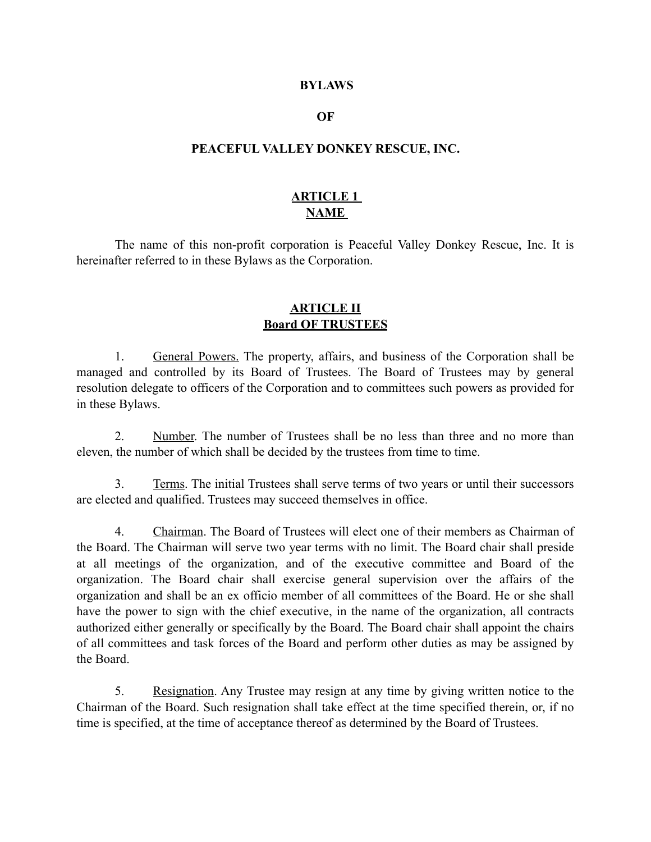#### **BYLAWS**

#### **OF**

#### **PEACEFUL VALLEY DONKEY RESCUE, INC.**

## **ARTICLE 1 NAME**

 The name of this non-profit corporation is Peaceful Valley Donkey Rescue, Inc. It is hereinafter referred to in these Bylaws as the Corporation.

#### **ARTICLE II Board OF TRUSTEES**

 1. General Powers. The property, affairs, and business of the Corporation shall be managed and controlled by its Board of Trustees. The Board of Trustees may by general resolution delegate to officers of the Corporation and to committees such powers as provided for in these Bylaws.

 2. Number. The number of Trustees shall be no less than three and no more than eleven, the number of which shall be decided by the trustees from time to time.

 3. Terms. The initial Trustees shall serve terms of two years or until their successors are elected and qualified. Trustees may succeed themselves in office.

 4. Chairman. The Board of Trustees will elect one of their members as Chairman of the Board. The Chairman will serve two year terms with no limit. The Board chair shall preside at all meetings of the organization, and of the executive committee and Board of the organization. The Board chair shall exercise general supervision over the affairs of the organization and shall be an ex officio member of all committees of the Board. He or she shall have the power to sign with the chief executive, in the name of the organization, all contracts authorized either generally or specifically by the Board. The Board chair shall appoint the chairs of all committees and task forces of the Board and perform other duties as may be assigned by the Board.

 5. Resignation. Any Trustee may resign at any time by giving written notice to the Chairman of the Board. Such resignation shall take effect at the time specified therein, or, if no time is specified, at the time of acceptance thereof as determined by the Board of Trustees.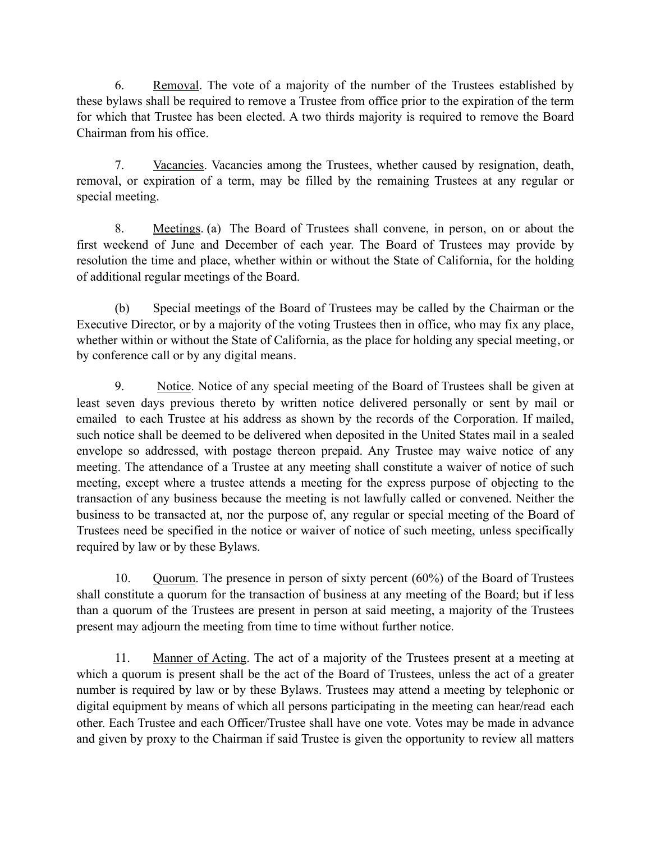6. Removal. The vote of a majority of the number of the Trustees established by these bylaws shall be required to remove a Trustee from office prior to the expiration of the term for which that Trustee has been elected. A two thirds majority is required to remove the Board Chairman from his office.

 7. Vacancies. Vacancies among the Trustees, whether caused by resignation, death, removal, or expiration of a term, may be filled by the remaining Trustees at any regular or special meeting.

 8. Meetings. (a) The Board of Trustees shall convene, in person, on or about the first weekend of June and December of each year. The Board of Trustees may provide by resolution the time and place, whether within or without the State of California, for the holding of additional regular meetings of the Board.

 (b) Special meetings of the Board of Trustees may be called by the Chairman or the Executive Director, or by a majority of the voting Trustees then in office, who may fix any place, whether within or without the State of California, as the place for holding any special meeting, or by conference call or by any digital means.

9. Notice. Notice of any special meeting of the Board of Trustees shall be given at least seven days previous thereto by written notice delivered personally or sent by mail or emailed to each Trustee at his address as shown by the records of the Corporation. If mailed, such notice shall be deemed to be delivered when deposited in the United States mail in a sealed envelope so addressed, with postage thereon prepaid. Any Trustee may waive notice of any meeting. The attendance of a Trustee at any meeting shall constitute a waiver of notice of such meeting, except where a trustee attends a meeting for the express purpose of objecting to the transaction of any business because the meeting is not lawfully called or convened. Neither the business to be transacted at, nor the purpose of, any regular or special meeting of the Board of Trustees need be specified in the notice or waiver of notice of such meeting, unless specifically required by law or by these Bylaws.

 10. Quorum. The presence in person of sixty percent (60%) of the Board of Trustees shall constitute a quorum for the transaction of business at any meeting of the Board; but if less than a quorum of the Trustees are present in person at said meeting, a majority of the Trustees present may adjourn the meeting from time to time without further notice.

 11. Manner of Acting. The act of a majority of the Trustees present at a meeting at which a quorum is present shall be the act of the Board of Trustees, unless the act of a greater number is required by law or by these Bylaws. Trustees may attend a meeting by telephonic or digital equipment by means of which all persons participating in the meeting can hear/read each other. Each Trustee and each Officer/Trustee shall have one vote. Votes may be made in advance and given by proxy to the Chairman if said Trustee is given the opportunity to review all matters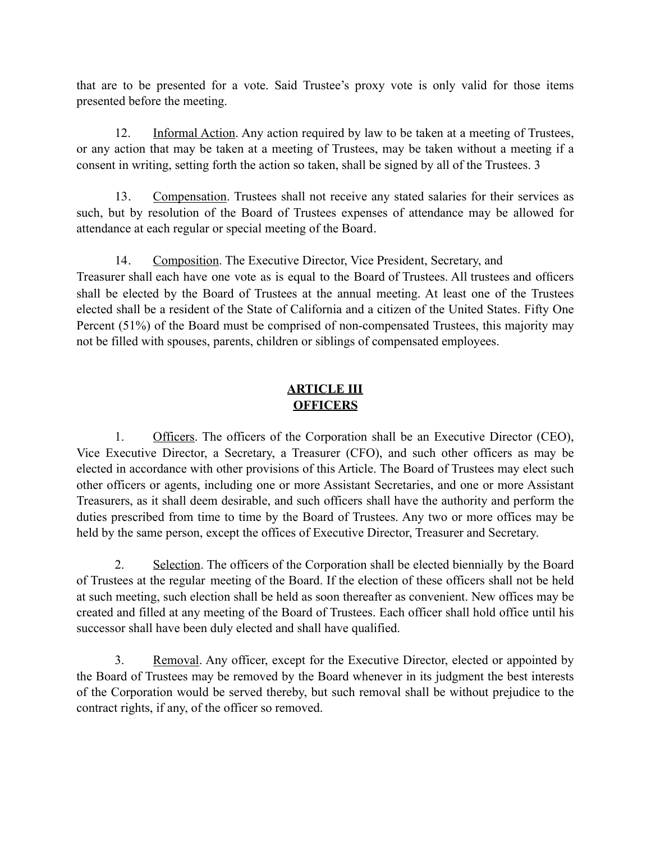that are to be presented for a vote. Said Trustee's proxy vote is only valid for those items presented before the meeting.

 12. Informal Action. Any action required by law to be taken at a meeting of Trustees, or any action that may be taken at a meeting of Trustees, may be taken without a meeting if a consent in writing, setting forth the action so taken, shall be signed by all of the Trustees. 3

13. Compensation. Trustees shall not receive any stated salaries for their services as such, but by resolution of the Board of Trustees expenses of attendance may be allowed for attendance at each regular or special meeting of the Board.

14. Composition. The Executive Director, Vice President, Secretary, and Treasurer shall each have one vote as is equal to the Board of Trustees. All trustees and officers shall be elected by the Board of Trustees at the annual meeting. At least one of the Trustees elected shall be a resident of the State of California and a citizen of the United States. Fifty One Percent (51%) of the Board must be comprised of non-compensated Trustees, this majority may not be filled with spouses, parents, children or siblings of compensated employees.

# **ARTICLE III OFFICERS**

1. Officers. The officers of the Corporation shall be an Executive Director (CEO), Vice Executive Director, a Secretary, a Treasurer (CFO), and such other officers as may be elected in accordance with other provisions of this Article. The Board of Trustees may elect such other officers or agents, including one or more Assistant Secretaries, and one or more Assistant Treasurers, as it shall deem desirable, and such officers shall have the authority and perform the duties prescribed from time to time by the Board of Trustees. Any two or more offices may be held by the same person, except the offices of Executive Director, Treasurer and Secretary.

 2. Selection. The officers of the Corporation shall be elected biennially by the Board of Trustees at the regular meeting of the Board. If the election of these officers shall not be held at such meeting, such election shall be held as soon thereafter as convenient. New offices may be created and filled at any meeting of the Board of Trustees. Each officer shall hold office until his successor shall have been duly elected and shall have qualified.

 3. Removal. Any officer, except for the Executive Director, elected or appointed by the Board of Trustees may be removed by the Board whenever in its judgment the best interests of the Corporation would be served thereby, but such removal shall be without prejudice to the contract rights, if any, of the officer so removed.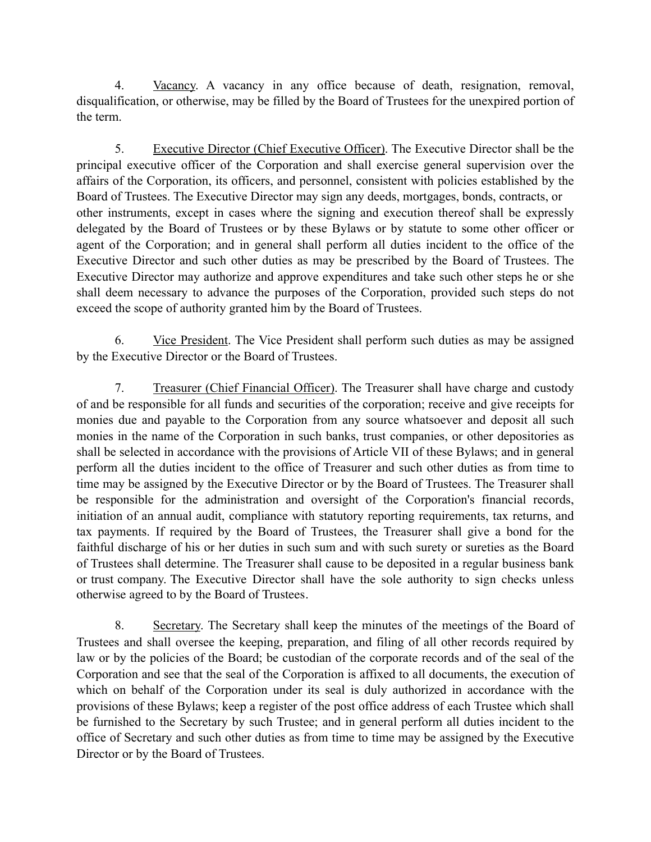4. Vacancy. A vacancy in any office because of death, resignation, removal, disqualification, or otherwise, may be filled by the Board of Trustees for the unexpired portion of the term.

 5. Executive Director (Chief Executive Officer). The Executive Director shall be the principal executive officer of the Corporation and shall exercise general supervision over the affairs of the Corporation, its officers, and personnel, consistent with policies established by the Board of Trustees. The Executive Director may sign any deeds, mortgages, bonds, contracts, or other instruments, except in cases where the signing and execution thereof shall be expressly delegated by the Board of Trustees or by these Bylaws or by statute to some other officer or agent of the Corporation; and in general shall perform all duties incident to the office of the Executive Director and such other duties as may be prescribed by the Board of Trustees. The Executive Director may authorize and approve expenditures and take such other steps he or she shall deem necessary to advance the purposes of the Corporation, provided such steps do not exceed the scope of authority granted him by the Board of Trustees.

 6. Vice President. The Vice President shall perform such duties as may be assigned by the Executive Director or the Board of Trustees.

 7. Treasurer (Chief Financial Officer). The Treasurer shall have charge and custody of and be responsible for all funds and securities of the corporation; receive and give receipts for monies due and payable to the Corporation from any source whatsoever and deposit all such monies in the name of the Corporation in such banks, trust companies, or other depositories as shall be selected in accordance with the provisions of Article VII of these Bylaws; and in general perform all the duties incident to the office of Treasurer and such other duties as from time to time may be assigned by the Executive Director or by the Board of Trustees. The Treasurer shall be responsible for the administration and oversight of the Corporation's financial records, initiation of an annual audit, compliance with statutory reporting requirements, tax returns, and tax payments. If required by the Board of Trustees, the Treasurer shall give a bond for the faithful discharge of his or her duties in such sum and with such surety or sureties as the Board of Trustees shall determine. The Treasurer shall cause to be deposited in a regular business bank or trust company. The Executive Director shall have the sole authority to sign checks unless otherwise agreed to by the Board of Trustees.

8. Secretary. The Secretary shall keep the minutes of the meetings of the Board of Trustees and shall oversee the keeping, preparation, and filing of all other records required by law or by the policies of the Board; be custodian of the corporate records and of the seal of the Corporation and see that the seal of the Corporation is affixed to all documents, the execution of which on behalf of the Corporation under its seal is duly authorized in accordance with the provisions of these Bylaws; keep a register of the post office address of each Trustee which shall be furnished to the Secretary by such Trustee; and in general perform all duties incident to the office of Secretary and such other duties as from time to time may be assigned by the Executive Director or by the Board of Trustees.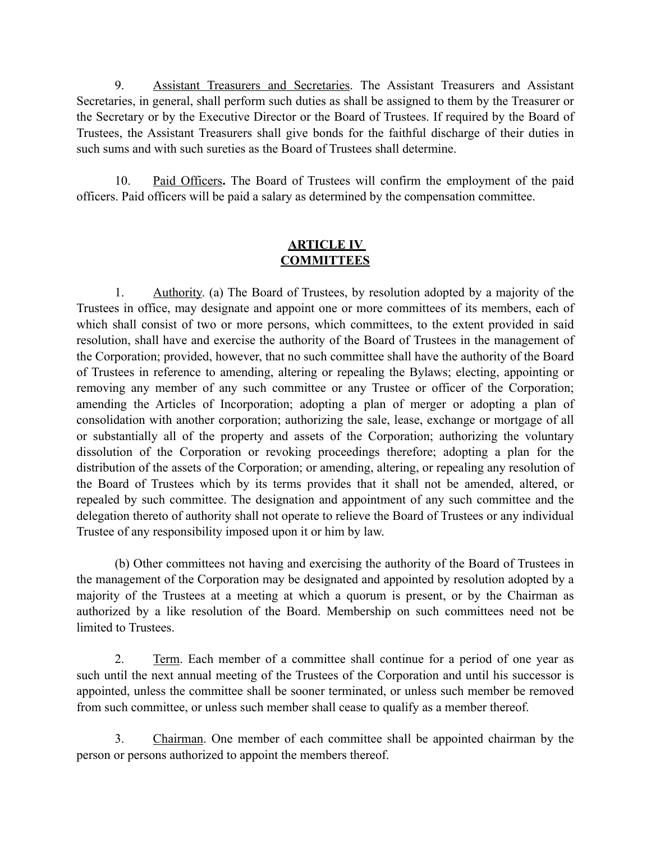9. Assistant Treasurers and Secretaries. The Assistant Treasurers and Assistant Secretaries, in general, shall perform such duties as shall be assigned to them by the Treasurer or the Secretary or by the Executive Director or the Board of Trustees. If required by the Board of Trustees, the Assistant Treasurers shall give bonds for the faithful discharge of their duties in such sums and with such sureties as the Board of Trustees shall determine.

 10. Paid Officers**.** The Board of Trustees will confirm the employment of the paid officers. Paid officers will be paid a salary as determined by the compensation committee.

### **ARTICLE IV COMMITTEES**

 1. Authority. (a) The Board of Trustees, by resolution adopted by a majority of the Trustees in office, may designate and appoint one or more committees of its members, each of which shall consist of two or more persons, which committees, to the extent provided in said resolution, shall have and exercise the authority of the Board of Trustees in the management of the Corporation; provided, however, that no such committee shall have the authority of the Board of Trustees in reference to amending, altering or repealing the Bylaws; electing, appointing or removing any member of any such committee or any Trustee or officer of the Corporation; amending the Articles of Incorporation; adopting a plan of merger or adopting a plan of consolidation with another corporation; authorizing the sale, lease, exchange or mortgage of all or substantially all of the property and assets of the Corporation; authorizing the voluntary dissolution of the Corporation or revoking proceedings therefore; adopting a plan for the distribution of the assets of the Corporation; or amending, altering, or repealing any resolution of the Board of Trustees which by its terms provides that it shall not be amended, altered, or repealed by such committee. The designation and appointment of any such committee and the delegation thereto of authority shall not operate to relieve the Board of Trustees or any individual Trustee of any responsibility imposed upon it or him by law.

 (b) Other committees not having and exercising the authority of the Board of Trustees in the management of the Corporation may be designated and appointed by resolution adopted by a majority of the Trustees at a meeting at which a quorum is present, or by the Chairman as authorized by a like resolution of the Board. Membership on such committees need not be limited to Trustees.

 2. Term. Each member of a committee shall continue for a period of one year as such until the next annual meeting of the Trustees of the Corporation and until his successor is appointed, unless the committee shall be sooner terminated, or unless such member be removed from such committee, or unless such member shall cease to qualify as a member thereof.

 3. Chairman. One member of each committee shall be appointed chairman by the person or persons authorized to appoint the members thereof.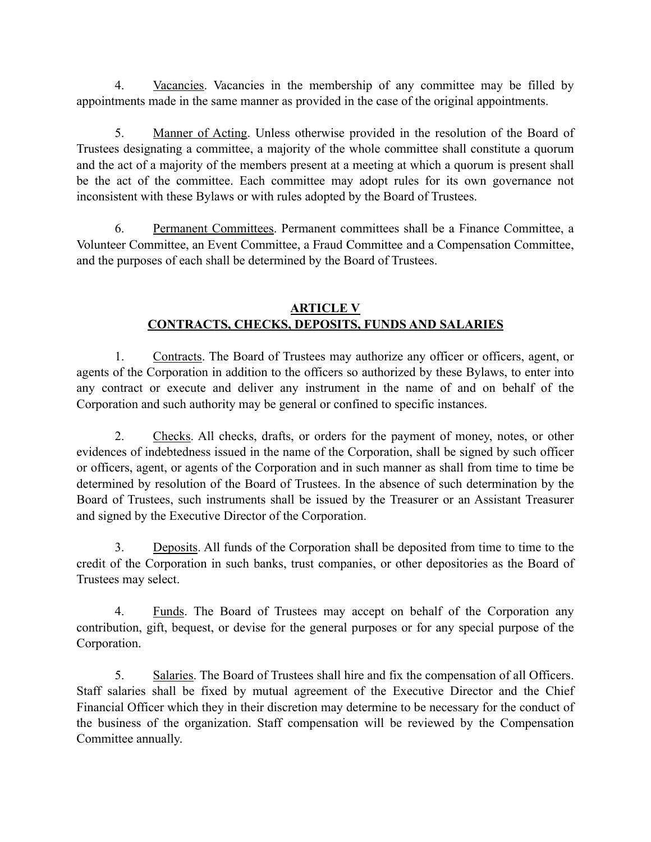4. Vacancies. Vacancies in the membership of any committee may be filled by appointments made in the same manner as provided in the case of the original appointments.

 5. Manner of Acting. Unless otherwise provided in the resolution of the Board of Trustees designating a committee, a majority of the whole committee shall constitute a quorum and the act of a majority of the members present at a meeting at which a quorum is present shall be the act of the committee. Each committee may adopt rules for its own governance not inconsistent with these Bylaws or with rules adopted by the Board of Trustees.

 6. Permanent Committees. Permanent committees shall be a Finance Committee, a Volunteer Committee, an Event Committee, a Fraud Committee and a Compensation Committee, and the purposes of each shall be determined by the Board of Trustees.

## **ARTICLE V CONTRACTS, CHECKS, DEPOSITS, FUNDS AND SALARIES**

1. Contracts. The Board of Trustees may authorize any officer or officers, agent, or agents of the Corporation in addition to the officers so authorized by these Bylaws, to enter into any contract or execute and deliver any instrument in the name of and on behalf of the Corporation and such authority may be general or confined to specific instances.

 2. Checks. All checks, drafts, or orders for the payment of money, notes, or other evidences of indebtedness issued in the name of the Corporation, shall be signed by such officer or officers, agent, or agents of the Corporation and in such manner as shall from time to time be determined by resolution of the Board of Trustees. In the absence of such determination by the Board of Trustees, such instruments shall be issued by the Treasurer or an Assistant Treasurer and signed by the Executive Director of the Corporation.

 3. Deposits. All funds of the Corporation shall be deposited from time to time to the credit of the Corporation in such banks, trust companies, or other depositories as the Board of Trustees may select.

 4. Funds. The Board of Trustees may accept on behalf of the Corporation any contribution, gift, bequest, or devise for the general purposes or for any special purpose of the Corporation.

 5. Salaries. The Board of Trustees shall hire and fix the compensation of all Officers. Staff salaries shall be fixed by mutual agreement of the Executive Director and the Chief Financial Officer which they in their discretion may determine to be necessary for the conduct of the business of the organization. Staff compensation will be reviewed by the Compensation Committee annually.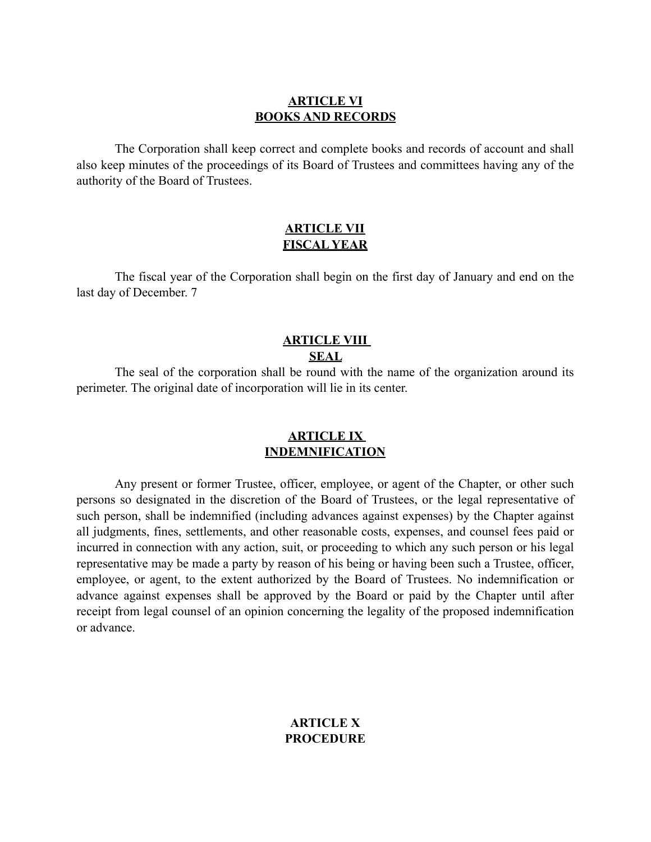#### **ARTICLE VI BOOKS AND RECORDS**

The Corporation shall keep correct and complete books and records of account and shall also keep minutes of the proceedings of its Board of Trustees and committees having any of the authority of the Board of Trustees.

#### **ARTICLE VII FISCAL YEAR**

The fiscal year of the Corporation shall begin on the first day of January and end on the last day of December. 7

### **ARTICLE VIII SEAL**

 The seal of the corporation shall be round with the name of the organization around its perimeter. The original date of incorporation will lie in its center.

### **ARTICLE IX INDEMNIFICATION**

 Any present or former Trustee, officer, employee, or agent of the Chapter, or other such persons so designated in the discretion of the Board of Trustees, or the legal representative of such person, shall be indemnified (including advances against expenses) by the Chapter against all judgments, fines, settlements, and other reasonable costs, expenses, and counsel fees paid or incurred in connection with any action, suit, or proceeding to which any such person or his legal representative may be made a party by reason of his being or having been such a Trustee, officer, employee, or agent, to the extent authorized by the Board of Trustees. No indemnification or advance against expenses shall be approved by the Board or paid by the Chapter until after receipt from legal counsel of an opinion concerning the legality of the proposed indemnification or advance.

### **ARTICLE X PROCEDURE**